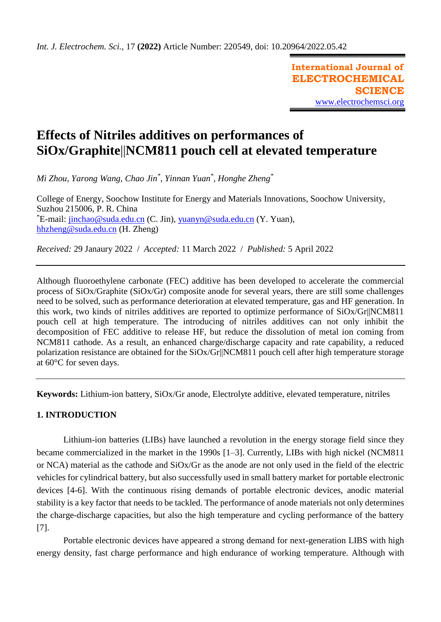**International Journal of ELECTROCHEMICAL SCIENCE** [www.electrochemsci.org](http://www.electrochemsci.org/)

# **Effects of Nitriles additives on performances of SiOx/Graphite**||**NCM811 pouch cell at elevated temperature**

*Mi Zhou, Yarong Wang, Chao Jin\* , Yinnan Yuan\* , Honghe Zheng\**

College of Energy, Soochow Institute for Energy and Materials Innovations, Soochow University, Suzhou 215006, P. R. China \*E-mail: [jinchao@suda.edu.cn](mailto:jinchao@suda.edu.cn) (C. Jin), [yuanyn@suda.edu.cn](mailto:yuanyn@suda.edu.cn) (Y. Yuan), [hhzheng@suda.edu.cn](mailto:hhzheng@suda.edu.cn) (H. Zheng)

*Received:* 29 Janaury 2022/ *Accepted:* 11 March 2022 / *Published:* 5 April 2022

Although fluoroethylene carbonate (FEC) additive has been developed to accelerate the commercial process of SiOx/Graphite (SiOx/Gr) composite anode for several years, there are still some challenges need to be solved, such as performance deterioration at elevated temperature, gas and HF generation. In this work, two kinds of nitriles additives are reported to optimize performance of SiOx/Gr||NCM811 pouch cell at high temperature. The introducing of nitriles additives can not only inhibit the decomposition of FEC additive to release HF, but reduce the dissolution of metal ion coming from NCM811 cathode. As a result, an enhanced charge/discharge capacity and rate capability, a reduced polarization resistance are obtained for the SiOx/Gr||NCM811 pouch cell after high temperature storage at 60°C for seven days.

**Keywords:** Lithium-ion battery, SiOx/Gr anode, Electrolyte additive, elevated temperature, nitriles

## **1. INTRODUCTION**

Lithium-ion batteries (LIBs) have launched a revolution in the energy storage field since they became commercialized in the market in the 1990s [1–3]. Currently, LIBs with high nickel (NCM811 or NCA) material as the cathode and SiOx/Gr as the anode are not only used in the field of the electric vehicles for cylindrical battery, but also successfully used in small battery market for portable electronic devices [4-6]. With the continuous rising demands of portable electronic devices, anodic material stability is a key factor that needs to be tackled. The performance of anode materials not only determines the charge-discharge capacities, but also the high temperature and cycling performance of the battery [7].

Portable electronic devices have appeared a strong demand for next-generation LIBS with high energy density, fast charge performance and high endurance of working temperature. Although with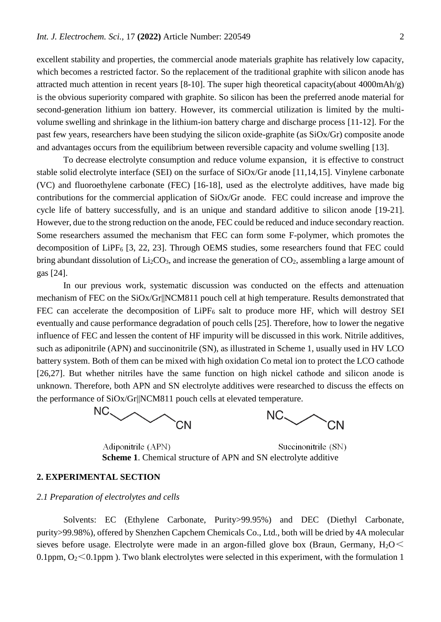excellent stability and properties, the commercial anode materials graphite has relatively low capacity, which becomes a restricted factor. So the replacement of the traditional graphite with silicon anode has attracted much attention in recent years [8-10]. The super high theoretical capacity(about 4000mAh/g) is the obvious superiority compared with graphite. So silicon has been the preferred anode material for second-generation lithium ion battery. However, its commercial utilization is limited by the multivolume swelling and shrinkage in the lithium-ion battery charge and discharge process [11-12]. For the past few years, researchers have been studying the silicon oxide-graphite (as SiOx/Gr) composite anode and advantages occurs from the equilibrium between reversible capacity and volume swelling [13].

To decrease electrolyte consumption and reduce volume expansion, it is effective to construct stable solid electrolyte interface (SEI) on the surface of SiOx/Gr anode [11,14,15]. Vinylene carbonate (VC) and fluoroethylene carbonate (FEC) [16-18], used as the electrolyte additives, have made big contributions for the commercial application of SiOx/Gr anode. FEC could increase and improve the cycle life of battery successfully, and is an unique and standard additive to silicon anode [19-21]. However, due to the strong reduction on the anode, FEC could be reduced and induce secondary reaction. Some researchers assumed the mechanism that FEC can form some F-polymer, which promotes the decomposition of LiPF $_6$  [3, 22, 23]. Through OEMS studies, some researchers found that FEC could bring abundant dissolution of  $Li<sub>2</sub>CO<sub>3</sub>$ , and increase the generation of  $CO<sub>2</sub>$ , assembling a large amount of gas [24].

In our previous work, systematic discussion was conducted on the effects and attenuation mechanism of FEC on the SiOx/Gr||NCM811 pouch cell at high temperature. Results demonstrated that FEC can accelerate the decomposition of LiPF<sub>6</sub> salt to produce more HF, which will destroy SEI eventually and cause performance degradation of pouch cells [25]. Therefore, how to lower the negative influence of FEC and lessen the content of HF impurity will be discussed in this work. Nitrile additives, such as adiponitrile (APN) and succinonitrile (SN), as illustrated in Scheme 1, usually used in HV LCO battery system. Both of them can be mixed with high oxidation Co metal ion to protect the LCO cathode [26,27]. But whether nitriles have the same function on high nickel cathode and silicon anode is unknown. Therefore, both APN and SN electrolyte additives were researched to discuss the effects on the performance of SiOx/Gr||NCM811 pouch cells at elevated temperature.





Adiponitrile (APN) Succinonitrile (SN) **Scheme 1**. Chemical structure of APN and SN electrolyte additive

#### **2. EXPERIMENTAL SECTION**

#### *2.1 Preparation of electrolytes and cells*

Solvents: EC (Ethylene Carbonate, Purity>99.95%) and DEC (Diethyl Carbonate, purity>99.98%), offered by Shenzhen Capchem Chemicals Co., Ltd., both will be dried by 4A molecular sieves before usage. Electrolyte were made in an argon-filled glove box (Braun, Germany,  $H_2O \le$ 0.1ppm,  $O_2 \le 0.1$ ppm). Two blank electrolytes were selected in this experiment, with the formulation 1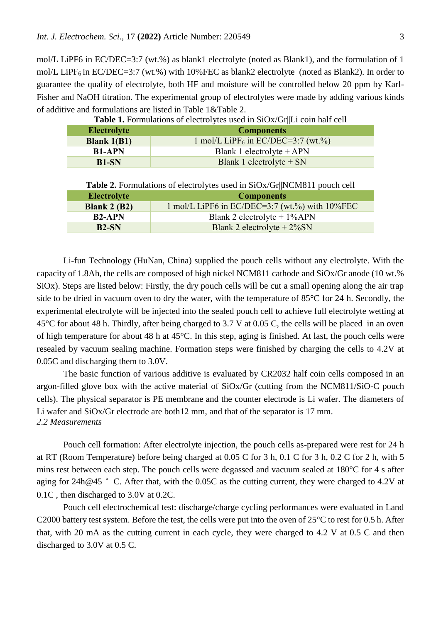mol/L LiPF6 in EC/DEC=3:7 (wt.%) as blank1 electrolyte (noted as Blank1), and the formulation of 1 mol/L LiPF<sub>6</sub> in EC/DEC=3:7 (wt.%) with 10%FEC as blank2 electrolyte (noted as Blank2). In order to guarantee the quality of electrolyte, both HF and moisture will be controlled below 20 ppm by Karl-Fisher and NaOH titration. The experimental group of electrolytes were made by adding various kinds of additive and formulations are listed in Table 1&Table 2.

| $\sim$ which is a commutational or written or $\sim$ . We we write $\sim$ . The second commutation of $\sim$ |                                                |  |
|--------------------------------------------------------------------------------------------------------------|------------------------------------------------|--|
| <b>Electrolyte</b>                                                                                           | <b>Components</b>                              |  |
| Blank $1(B1)$                                                                                                | 1 mol/L LiPF <sub>6</sub> in EC/DEC=3:7 (wt.%) |  |
| <b>B1-APN</b>                                                                                                | Blank 1 electrolyte $+$ APN                    |  |
| <b>B1-SN</b>                                                                                                 | Blank 1 electrolyte $+ SN$                     |  |

**Table 1.** Formulations of electrolytes used in SiOx/GrIL i coin half cell

| <b>Table 2.</b> Formulations of electrolytes used in SiOx/Gr  NCM811 pouch cell |                                                    |  |
|---------------------------------------------------------------------------------|----------------------------------------------------|--|
| <b>Electrolyte</b>                                                              | <b>Components</b>                                  |  |
| Blank $2(B2)$                                                                   | 1 mol/L LiPF6 in EC/DEC=3:7 (wt.%) with $10\%$ FEC |  |
| <b>B2-APN</b>                                                                   | Blank 2 electrolyte $+ 1\%$ APN                    |  |
| $B2-SN$                                                                         | Blank 2 electrolyte $+2\%$ SN                      |  |

Li-fun Technology (HuNan, China) supplied the pouch cells without any electrolyte. With the capacity of 1.8Ah, the cells are composed of high nickel NCM811 cathode and SiOx/Gr anode (10 wt.% SiOx). Steps are listed below: Firstly, the dry pouch cells will be cut a small opening along the air trap side to be dried in vacuum oven to dry the water, with the temperature of 85°C for 24 h. Secondly, the experimental electrolyte will be injected into the sealed pouch cell to achieve full electrolyte wetting at 45°C for about 48 h. Thirdly, after being charged to 3.7 V at 0.05 C, the cells will be placed in an oven of high temperature for about 48 h at 45°C. In this step, aging is finished. At last, the pouch cells were resealed by vacuum sealing machine. Formation steps were finished by charging the cells to 4.2V at 0.05C and discharging them to 3.0V.

The basic function of various additive is evaluated by CR2032 half coin cells composed in an argon-filled glove box with the active material of SiOx/Gr (cutting from the NCM811/SiO-C pouch cells). The physical separator is PE membrane and the counter electrode is Li wafer. The diameters of Li wafer and SiOx/Gr electrode are both12 mm, and that of the separator is 17 mm. *2.2 Measurements*

Pouch cell formation: After electrolyte injection, the pouch cells as-prepared were rest for 24 h at RT (Room Temperature) before being charged at 0.05 C for 3 h, 0.1 C for 3 h, 0.2 C for 2 h, with 5 mins rest between each step. The pouch cells were degassed and vacuum sealed at 180°C for 4 s after aging for 24h@45 °C. After that, with the 0.05C as the cutting current, they were charged to 4.2V at 0.1C , then discharged to 3.0V at 0.2C.

Pouch cell electrochemical test: discharge/charge cycling performances were evaluated in Land C2000 battery test system. Before the test, the cells were put into the oven of 25°C to rest for 0.5 h. After that, with 20 mA as the cutting current in each cycle, they were charged to 4.2 V at 0.5 C and then discharged to 3.0V at 0.5 C.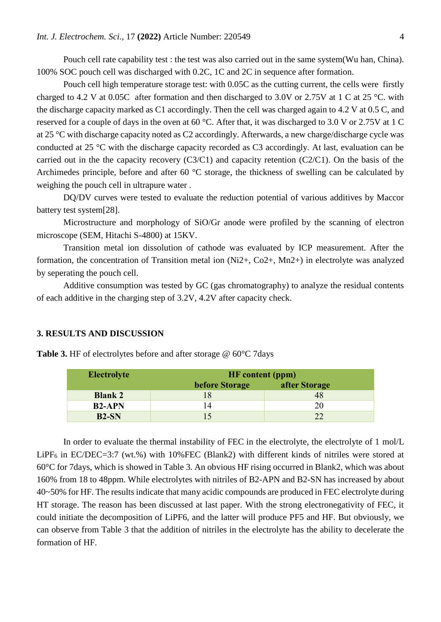Pouch cell rate capability test : the test was also carried out in the same system(Wu han, China). 100% SOC pouch cell was discharged with 0.2C, 1C and 2C in sequence after formation.

Pouch cell high temperature storage test: with 0.05C as the cutting current, the cells were firstly charged to 4.2 V at 0.05C after formation and then discharged to 3.0V or 2.75V at 1 C at 25 °C. with the discharge capacity marked as C1 accordingly. Then the cell was charged again to 4.2 V at 0.5 C, and reserved for a couple of days in the oven at 60 °C. After that, it was discharged to 3.0 V or 2.75V at 1 C at 25 °C with discharge capacity noted as C2 accordingly. Afterwards, a new charge/discharge cycle was conducted at 25 °C with the discharge capacity recorded as C3 accordingly. At last, evaluation can be carried out in the the capacity recovery (C3/C1) and capacity retention (C2/C1). On the basis of the Archimedes principle, before and after 60 °C storage, the thickness of swelling can be calculated by weighing the pouch cell in ultrapure water .

DQ/DV curves were tested to evaluate the reduction potential of various additives by Maccor battery test system[28].

Microstructure and morphology of SiO/Gr anode were profiled by the scanning of electron microscope (SEM, Hitachi S-4800) at 15KV.

Transition metal ion dissolution of cathode was evaluated by ICP measurement. After the formation, the concentration of Transition metal ion (Ni2+, Co2+, Mn2+) in electrolyte was analyzed by seperating the pouch cell.

Additive consumption was tested by GC (gas chromatography) to analyze the residual contents of each additive in the charging step of 3.2V, 4.2V after capacity check.

#### **3. RESULTS AND DISCUSSION**

| <b>Electrolyte</b> | <b>HF</b> content (ppm) |               |  |
|--------------------|-------------------------|---------------|--|
|                    | before Storage          | after Storage |  |
| <b>Blank 2</b>     |                         |               |  |
| <b>B2-APN</b>      |                         |               |  |
| $B2-SN$            |                         | າາ            |  |

**Table 3.** HF of electrolytes before and after storage @ 60°C 7days

In order to evaluate the thermal instability of FEC in the electrolyte, the electrolyte of 1 mol/L LiPF<sub>6</sub> in EC/DEC=3:7 (wt.%) with 10%FEC (Blank2) with different kinds of nitriles were stored at 60°C for 7days, which is showed in Table 3. An obvious HF rising occurred in Blank2, which was about 160% from 18 to 48ppm. While electrolytes with nitriles of B2-APN and B2-SN has increased by about 40~50% for HF. The results indicate that many acidic compounds are produced in FEC electrolyte during HT storage. The reason has been discussed at last paper. With the strong electronegativity of FEC, it could initiate the decomposition of LiPF6, and the latter will produce PF5 and HF. But obviously, we can observe from Table 3 that the addition of nitriles in the electrolyte has the ability to decelerate the formation of HF.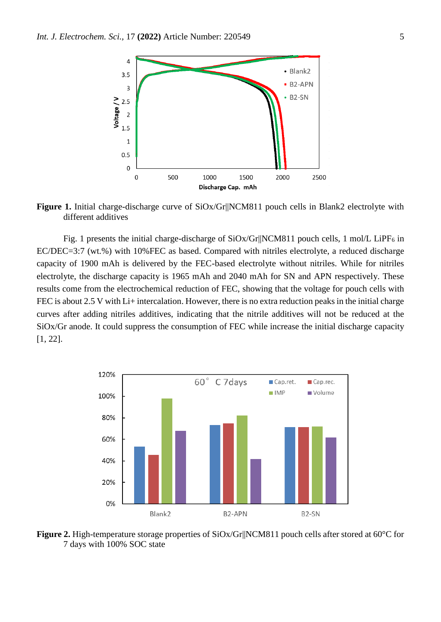

**Figure 1.** Initial charge-discharge curve of SiOx/Gr||NCM811 pouch cells in Blank2 electrolyte with different additives

Fig. 1 presents the initial charge-discharge of  $SiOx/Gr||NCM811$  pouch cells, 1 mol/L LiPF<sub>6</sub> in EC/DEC=3:7 (wt.%) with 10%FEC as based. Compared with nitriles electrolyte, a reduced discharge capacity of 1900 mAh is delivered by the FEC-based electrolyte without nitriles. While for nitriles electrolyte, the discharge capacity is 1965 mAh and 2040 mAh for SN and APN respectively. These results come from the electrochemical reduction of FEC, showing that the voltage for pouch cells with FEC is about 2.5 V with Li+ intercalation. However, there is no extra reduction peaks in the initial charge curves after adding nitriles additives, indicating that the nitrile additives will not be reduced at the SiOx/Gr anode. It could suppress the consumption of FEC while increase the initial discharge capacity [1, 22].



**Figure 2.** High-temperature storage properties of SiOx/Gr||NCM811 pouch cells after stored at 60°C for 7 days with 100% SOC state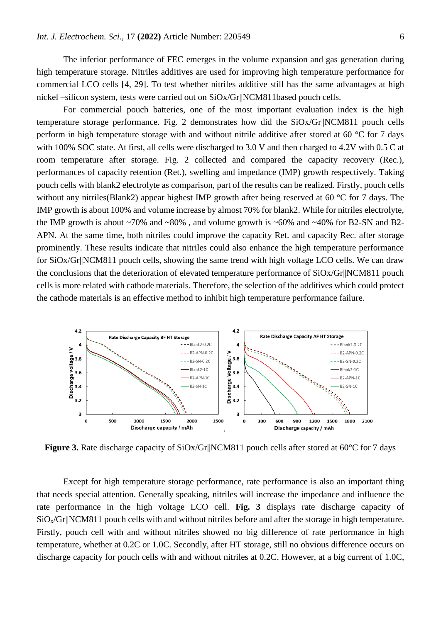The inferior performance of FEC emerges in the volume expansion and gas generation during high temperature storage. Nitriles additives are used for improving high temperature performance for commercial LCO cells [4, 29]. To test whether nitriles additive still has the same advantages at high nickel –silicon system, tests were carried out on SiOx/Gr||NCM811based pouch cells.

For commercial pouch batteries, one of the most important evaluation index is the high temperature storage performance. Fig. 2 demonstrates how did the SiOx/Gr||NCM811 pouch cells perform in high temperature storage with and without nitrile additive after stored at 60 °C for 7 days with 100% SOC state. At first, all cells were discharged to 3.0 V and then charged to 4.2V with 0.5 C at room temperature after storage. Fig. 2 collected and compared the capacity recovery (Rec.), performances of capacity retention (Ret.), swelling and impedance (IMP) growth respectively. Taking pouch cells with blank2 electrolyte as comparison, part of the results can be realized. Firstly, pouch cells without any nitriles (Blank2) appear highest IMP growth after being reserved at 60 °C for 7 days. The IMP growth is about 100% and volume increase by almost 70% for blank2. While for nitriles electrolyte, the IMP growth is about  $\sim 70\%$  and  $\sim 80\%$ , and volume growth is  $\sim 60\%$  and  $\sim 40\%$  for B2-SN and B2-APN. At the same time, both nitriles could improve the capacity Ret. and capacity Rec. after storage prominently. These results indicate that nitriles could also enhance the high temperature performance for SiOx/Gr||NCM811 pouch cells, showing the same trend with high voltage LCO cells. We can draw the conclusions that the deterioration of elevated temperature performance of SiOx/Gr||NCM811 pouch cells is more related with cathode materials. Therefore, the selection of the additives which could protect the cathode materials is an effective method to inhibit high temperature performance failure.



**Figure 3.** Rate discharge capacity of SiOx/Gr||NCM811 pouch cells after stored at 60°C for 7 days

Except for high temperature storage performance, rate performance is also an important thing that needs special attention. Generally speaking, nitriles will increase the impedance and influence the rate performance in the high voltage LCO cell. **Fig. 3** displays rate discharge capacity of  $SiO<sub>x</sub>/Gr||NCM811$  pouch cells with and without nitriles before and after the storage in high temperature. Firstly, pouch cell with and without nitriles showed no big difference of rate performance in high temperature, whether at 0.2C or 1.0C. Secondly, after HT storage, still no obvious difference occurs on discharge capacity for pouch cells with and without nitriles at 0.2C. However, at a big current of 1.0C,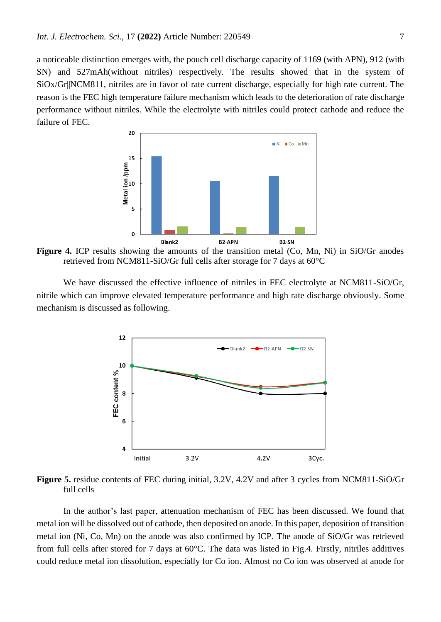a noticeable distinction emerges with, the pouch cell discharge capacity of 1169 (with APN), 912 (with SN) and 527mAh(without nitriles) respectively. The results showed that in the system of SiOx/Gr||NCM811, nitriles are in favor of rate current discharge, especially for high rate current. The reason is the FEC high temperature failure mechanism which leads to the deterioration of rate discharge performance without nitriles. While the electrolyte with nitriles could protect cathode and reduce the failure of FEC.



**Figure 4.** ICP results showing the amounts of the transition metal (Co, Mn, Ni) in SiO/Gr anodes retrieved from NCM811-SiO/Gr full cells after storage for 7 days at 60°C

We have discussed the effective influence of nitriles in FEC electrolyte at NCM811-SiO/Gr, nitrile which can improve elevated temperature performance and high rate discharge obviously. Some mechanism is discussed as following.



**Figure 5.** residue contents of FEC during initial, 3.2V, 4.2V and after 3 cycles from NCM811-SiO/Gr full cells

In the author's last paper, attenuation mechanism of FEC has been discussed. We found that metal ion will be dissolved out of cathode, then deposited on anode. In this paper, deposition of transition metal ion (Ni, Co, Mn) on the anode was also confirmed by ICP. The anode of SiO/Gr was retrieved from full cells after stored for 7 days at 60°C. The data was listed in Fig.4. Firstly, nitriles additives could reduce metal ion dissolution, especially for Co ion. Almost no Co ion was observed at anode for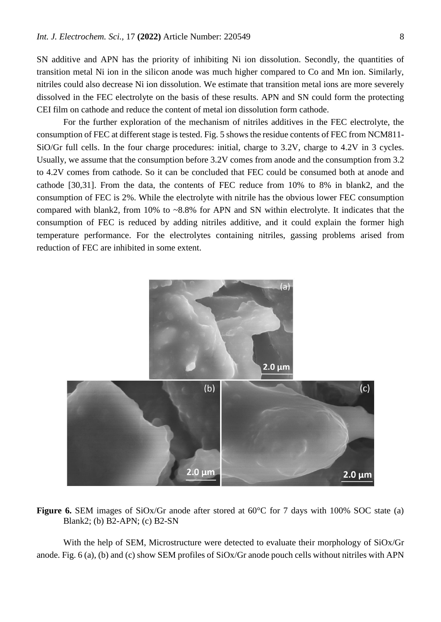SN additive and APN has the priority of inhibiting Ni ion dissolution. Secondly, the quantities of transition metal Ni ion in the silicon anode was much higher compared to Co and Mn ion. Similarly, nitriles could also decrease Ni ion dissolution. We estimate that transition metal ions are more severely dissolved in the FEC electrolyte on the basis of these results. APN and SN could form the protecting CEI film on cathode and reduce the content of metal ion dissolution form cathode.

For the further exploration of the mechanism of nitriles additives in the FEC electrolyte, the consumption of FEC at different stage is tested. Fig. 5 shows the residue contents of FEC from NCM811- SiO/Gr full cells. In the four charge procedures: initial, charge to 3.2V, charge to 4.2V in 3 cycles. Usually, we assume that the consumption before 3.2V comes from anode and the consumption from 3.2 to 4.2V comes from cathode. So it can be concluded that FEC could be consumed both at anode and cathode [30,31]. From the data, the contents of FEC reduce from 10% to 8% in blank2, and the consumption of FEC is 2%. While the electrolyte with nitrile has the obvious lower FEC consumption compared with blank2, from 10% to ~8.8% for APN and SN within electrolyte. It indicates that the consumption of FEC is reduced by adding nitriles additive, and it could explain the former high temperature performance. For the electrolytes containing nitriles, gassing problems arised from reduction of FEC are inhibited in some extent.



**Figure 6.** SEM images of SiOx/Gr anode after stored at 60°C for 7 days with 100% SOC state (a) Blank2; (b) B2-APN; (c) B2-SN

With the help of SEM, Microstructure were detected to evaluate their morphology of SiOx/Gr anode. Fig. 6 (a), (b) and (c) show SEM profiles of SiOx/Gr anode pouch cells without nitriles with APN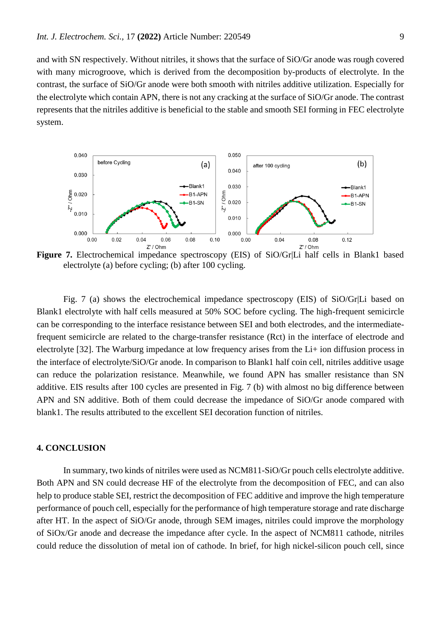and with SN respectively. Without nitriles, it shows that the surface of SiO/Gr anode was rough covered with many microgroove, which is derived from the decomposition by-products of electrolyte. In the contrast, the surface of SiO/Gr anode were both smooth with nitriles additive utilization. Especially for the electrolyte which contain APN, there is not any cracking at the surface of SiO/Gr anode. The contrast represents that the nitriles additive is beneficial to the stable and smooth SEI forming in FEC electrolyte system.



**Figure 7.** Electrochemical impedance spectroscopy (EIS) of SiO/Gr|Li half cells in Blank1 based electrolyte (a) before cycling; (b) after 100 cycling.

Fig. 7 (a) shows the electrochemical impedance spectroscopy (EIS) of SiO/Gr|Li based on Blank1 electrolyte with half cells measured at 50% SOC before cycling. The high-frequent semicircle can be corresponding to the interface resistance between SEI and both electrodes, and the intermediatefrequent semicircle are related to the charge-transfer resistance (Rct) in the interface of electrode and electrolyte [32]. The Warburg impedance at low frequency arises from the Li+ ion diffusion process in the interface of electrolyte/SiO/Gr anode. In comparison to Blank1 half coin cell, nitriles additive usage can reduce the polarization resistance. Meanwhile, we found APN has smaller resistance than SN additive. EIS results after 100 cycles are presented in Fig. 7 (b) with almost no big difference between APN and SN additive. Both of them could decrease the impedance of SiO/Gr anode compared with blank1. The results attributed to the excellent SEI decoration function of nitriles.

### **4. CONCLUSION**

In summary, two kinds of nitriles were used as NCM811-SiO/Gr pouch cells electrolyte additive. Both APN and SN could decrease HF of the electrolyte from the decomposition of FEC, and can also help to produce stable SEI, restrict the decomposition of FEC additive and improve the high temperature performance of pouch cell, especially for the performance of high temperature storage and rate discharge after HT. In the aspect of SiO/Gr anode, through SEM images, nitriles could improve the morphology of SiOx/Gr anode and decrease the impedance after cycle. In the aspect of NCM811 cathode, nitriles could reduce the dissolution of metal ion of cathode. In brief, for high nickel-silicon pouch cell, since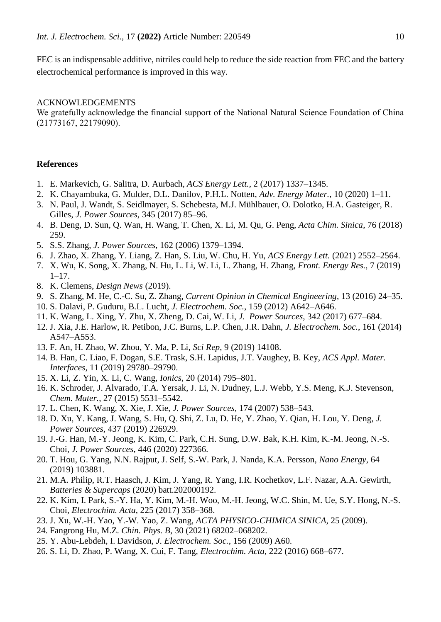FEC is an indispensable additive, nitriles could help to reduce the side reaction from FEC and the battery electrochemical performance is improved in this way.

## ACKNOWLEDGEMENTS

We gratefully acknowledge the financial support of the National Natural Science Foundation of China (21773167, 22179090).

#### **References**

- 1. E. Markevich, G. Salitra, D. Aurbach, *ACS Energy Lett.*, 2 (2017) 1337–1345.
- 2. K. Chayambuka, G. Mulder, D.L. Danilov, P.H.L. Notten, *Adv. Energy Mater.*, 10 (2020) 1–11.
- 3. N. Paul, J. Wandt, S. Seidlmayer, S. Schebesta, M.J. Mühlbauer, O. Dolotko, H.A. Gasteiger, R. Gilles, *J. Power Sources*, 345 (2017) 85–96.
- 4. B. Deng, D. Sun, Q. Wan, H. Wang, T. Chen, X. Li, M. Qu, G. Peng, *Acta Chim. Sinica*, 76 (2018) 259.
- 5. S.S. Zhang, *J. Power Sources*, 162 (2006) 1379–1394.
- 6. J. Zhao, X. Zhang, Y. Liang, Z. Han, S. Liu, W. Chu, H. Yu, *ACS Energy Lett.* (2021) 2552–2564.
- 7. X. Wu, K. Song, X. Zhang, N. Hu, L. Li, W. Li, L. Zhang, H. Zhang, *Front. Energy Res.*, 7 (2019)  $1-17.$
- 8. K. Clemens, *Design News* (2019).
- 9. S. Zhang, M. He, C.-C. Su, Z. Zhang, *Current Opinion in Chemical Engineering*, 13 (2016) 24–35.
- 10. S. Dalavi, P. Guduru, B.L. Lucht, *J. Electrochem. Soc.*, 159 (2012) A642–A646.
- 11. K. Wang, L. Xing, Y. Zhu, X. Zheng, D. Cai, W. Li, *J. Power Sources*, 342 (2017) 677–684.
- 12. J. Xia, J.E. Harlow, R. Petibon, J.C. Burns, L.P. Chen, J.R. Dahn, *J. Electrochem. Soc.*, 161 (2014) A547–A553.
- 13. F. An, H. Zhao, W. Zhou, Y. Ma, P. Li, *Sci Rep*, 9 (2019) 14108.
- 14. B. Han, C. Liao, F. Dogan, S.E. Trask, S.H. Lapidus, J.T. Vaughey, B. Key, *ACS Appl. Mater. Interfaces*, 11 (2019) 29780–29790.
- 15. X. Li, Z. Yin, X. Li, C. Wang, *Ionics*, 20 (2014) 795–801.
- 16. K. Schroder, J. Alvarado, T.A. Yersak, J. Li, N. Dudney, L.J. Webb, Y.S. Meng, K.J. Stevenson, *Chem. Mater.*, 27 (2015) 5531–5542.
- 17. L. Chen, K. Wang, X. Xie, J. Xie, *J. Power Sources*, 174 (2007) 538–543.
- 18. D. Xu, Y. Kang, J. Wang, S. Hu, Q. Shi, Z. Lu, D. He, Y. Zhao, Y. Qian, H. Lou, Y. Deng, *J. Power Sources*, 437 (2019) 226929.
- 19. J.-G. Han, M.-Y. Jeong, K. Kim, C. Park, C.H. Sung, D.W. Bak, K.H. Kim, K.-M. Jeong, N.-S. Choi, *J. Power Sources*, 446 (2020) 227366.
- 20. T. Hou, G. Yang, N.N. Rajput, J. Self, S.-W. Park, J. Nanda, K.A. Persson, *Nano Energy*, 64 (2019) 103881.
- 21. M.A. Philip, R.T. Haasch, J. Kim, J. Yang, R. Yang, I.R. Kochetkov, L.F. Nazar, A.A. Gewirth, *Batteries & Supercaps* (2020) batt.202000192.
- 22. K. Kim, I. Park, S.-Y. Ha, Y. Kim, M.-H. Woo, M.-H. Jeong, W.C. Shin, M. Ue, S.Y. Hong, N.-S. Choi, *Electrochim. Acta*, 225 (2017) 358–368.
- 23. J. Xu, W.-H. Yao, Y.-W. Yao, Z. Wang, *ACTA PHYSICO-CHIMICA SINICA*, 25 (2009).
- 24. Fangrong Hu, M.Z. *Chin. Phys. B*, 30 (2021) 68202–068202.
- 25. Y. Abu-Lebdeh, I. Davidson, *J. Electrochem. Soc.*, 156 (2009) A60.
- 26. S. Li, D. Zhao, P. Wang, X. Cui, F. Tang, *Electrochim. Acta*, 222 (2016) 668–677.